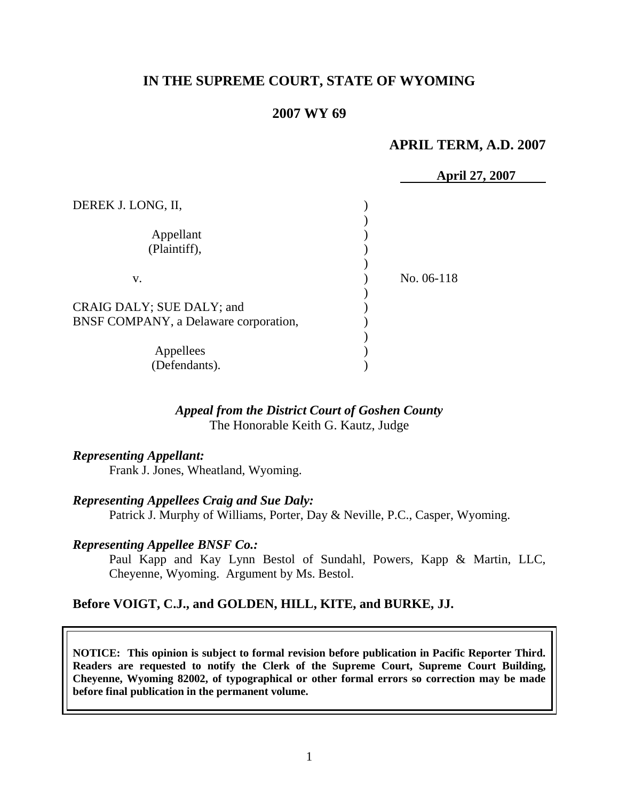# **IN THE SUPREME COURT, STATE OF WYOMING**

## **2007 WY 69**

## **APRIL TERM, A.D. 2007**

|                                       | <b>April 27, 2007</b> |
|---------------------------------------|-----------------------|
| DEREK J. LONG, II,                    |                       |
|                                       |                       |
| Appellant                             |                       |
| (Plaintiff),                          |                       |
|                                       |                       |
| V.                                    | No. 06-118            |
|                                       |                       |
| CRAIG DALY; SUE DALY; and             |                       |
| BNSF COMPANY, a Delaware corporation, |                       |
|                                       |                       |
| Appellees                             |                       |
| (Defendants).                         |                       |

#### *Appeal from the District Court of Goshen County* The Honorable Keith G. Kautz, Judge

#### *Representing Appellant:*

Frank J. Jones, Wheatland, Wyoming.

#### *Representing Appellees Craig and Sue Daly:*

Patrick J. Murphy of Williams, Porter, Day & Neville, P.C., Casper, Wyoming.

#### *Representing Appellee BNSF Co.:*

Paul Kapp and Kay Lynn Bestol of Sundahl, Powers, Kapp & Martin, LLC, Cheyenne, Wyoming. Argument by Ms. Bestol.

#### **Before VOIGT, C.J., and GOLDEN, HILL, KITE, and BURKE, JJ.**

**NOTICE: This opinion is subject to formal revision before publication in Pacific Reporter Third. Readers are requested to notify the Clerk of the Supreme Court, Supreme Court Building, Cheyenne, Wyoming 82002, of typographical or other formal errors so correction may be made before final publication in the permanent volume.**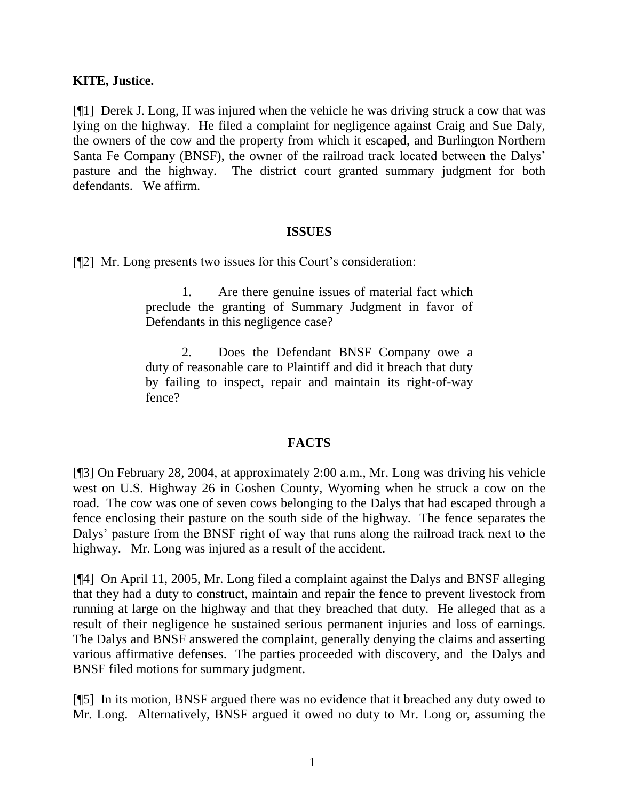## **KITE, Justice.**

[¶1] Derek J. Long, II was injured when the vehicle he was driving struck a cow that was lying on the highway. He filed a complaint for negligence against Craig and Sue Daly, the owners of the cow and the property from which it escaped, and Burlington Northern Santa Fe Company (BNSF), the owner of the railroad track located between the Dalys' pasture and the highway. The district court granted summary judgment for both defendants. We affirm.

#### **ISSUES**

[¶2] Mr. Long presents two issues for this Court's consideration:

1. Are there genuine issues of material fact which preclude the granting of Summary Judgment in favor of Defendants in this negligence case?

2. Does the Defendant BNSF Company owe a duty of reasonable care to Plaintiff and did it breach that duty by failing to inspect, repair and maintain its right-of-way fence?

# **FACTS**

[¶3] On February 28, 2004, at approximately 2:00 a.m., Mr. Long was driving his vehicle west on U.S. Highway 26 in Goshen County, Wyoming when he struck a cow on the road. The cow was one of seven cows belonging to the Dalys that had escaped through a fence enclosing their pasture on the south side of the highway. The fence separates the Dalys' pasture from the BNSF right of way that runs along the railroad track next to the highway. Mr. Long was injured as a result of the accident.

[¶4] On April 11, 2005, Mr. Long filed a complaint against the Dalys and BNSF alleging that they had a duty to construct, maintain and repair the fence to prevent livestock from running at large on the highway and that they breached that duty. He alleged that as a result of their negligence he sustained serious permanent injuries and loss of earnings. The Dalys and BNSF answered the complaint, generally denying the claims and asserting various affirmative defenses. The parties proceeded with discovery, and the Dalys and BNSF filed motions for summary judgment.

[¶5] In its motion, BNSF argued there was no evidence that it breached any duty owed to Mr. Long. Alternatively, BNSF argued it owed no duty to Mr. Long or, assuming the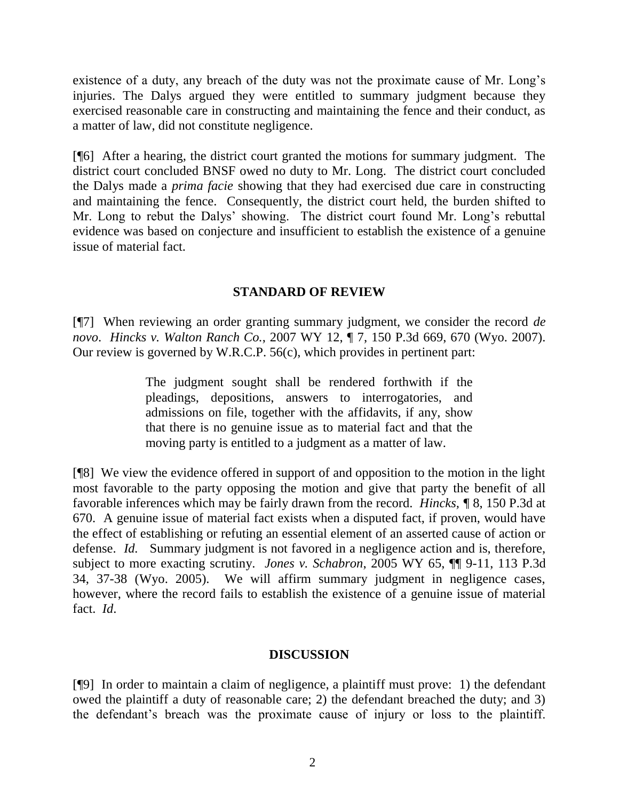existence of a duty, any breach of the duty was not the proximate cause of Mr. Long's injuries. The Dalys argued they were entitled to summary judgment because they exercised reasonable care in constructing and maintaining the fence and their conduct, as a matter of law, did not constitute negligence.

[¶6] After a hearing, the district court granted the motions for summary judgment. The district court concluded BNSF owed no duty to Mr. Long. The district court concluded the Dalys made a *prima facie* showing that they had exercised due care in constructing and maintaining the fence. Consequently, the district court held, the burden shifted to Mr. Long to rebut the Dalys' showing. The district court found Mr. Long's rebuttal evidence was based on conjecture and insufficient to establish the existence of a genuine issue of material fact.

## **STANDARD OF REVIEW**

[¶7] When reviewing an order granting summary judgment, we consider the record *de novo*. *Hincks v. Walton Ranch Co.*, 2007 WY 12, ¶ 7, 150 P.3d 669, 670 (Wyo. 2007). Our review is governed by W.R.C.P. 56(c), which provides in pertinent part:

> The judgment sought shall be rendered forthwith if the pleadings, depositions, answers to interrogatories, and admissions on file, together with the affidavits, if any, show that there is no genuine issue as to material fact and that the moving party is entitled to a judgment as a matter of law.

[¶8] We view the evidence offered in support of and opposition to the motion in the light most favorable to the party opposing the motion and give that party the benefit of all favorable inferences which may be fairly drawn from the record. *Hincks, ¶* 8, 150 P.3d at 670. A genuine issue of material fact exists when a disputed fact, if proven, would have the effect of establishing or refuting an essential element of an asserted cause of action or defense. *Id.* Summary judgment is not favored in a negligence action and is, therefore, subject to more exacting scrutiny. *Jones v. Schabron*, 2005 WY 65, ¶¶ 9-11, 113 P.3d 34, 37-38 (Wyo. 2005). We will affirm summary judgment in negligence cases, however, where the record fails to establish the existence of a genuine issue of material fact. *Id*.

# **DISCUSSION**

[¶9] In order to maintain a claim of negligence, a plaintiff must prove: 1) the defendant owed the plaintiff a duty of reasonable care; 2) the defendant breached the duty; and 3) the defendant's breach was the proximate cause of injury or loss to the plaintiff.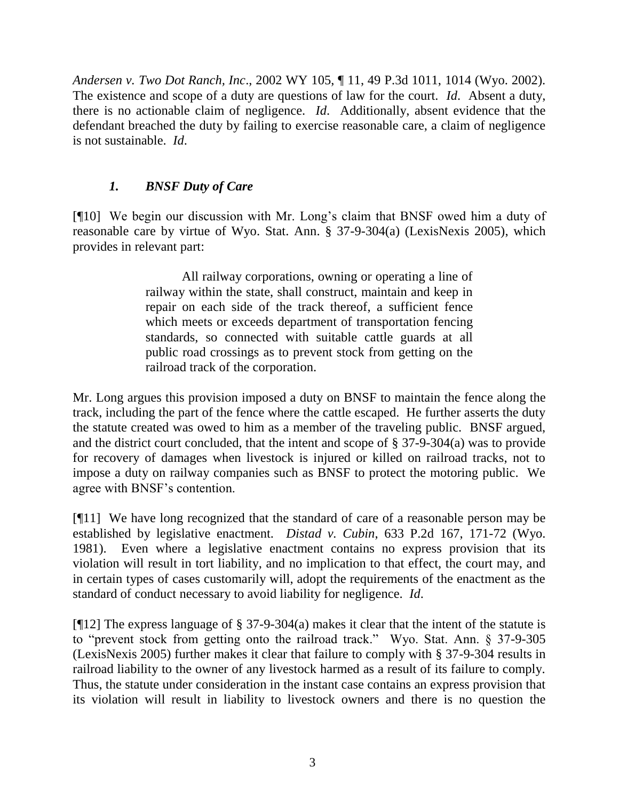*Andersen v. Two Dot Ranch, Inc*., 2002 WY 105, ¶ 11, 49 P.3d 1011, 1014 (Wyo. 2002). The existence and scope of a duty are questions of law for the court. *Id*. Absent a duty, there is no actionable claim of negligence. *Id*. Additionally, absent evidence that the defendant breached the duty by failing to exercise reasonable care, a claim of negligence is not sustainable. *Id*.

# *1. BNSF Duty of Care*

[¶10] We begin our discussion with Mr. Long's claim that BNSF owed him a duty of reasonable care by virtue of Wyo. Stat. Ann. § 37-9-304(a) (LexisNexis 2005), which provides in relevant part:

> All railway corporations, owning or operating a line of railway within the state, shall construct, maintain and keep in repair on each side of the track thereof, a sufficient fence which meets or exceeds department of transportation fencing standards, so connected with suitable cattle guards at all public road crossings as to prevent stock from getting on the railroad track of the corporation.

Mr. Long argues this provision imposed a duty on BNSF to maintain the fence along the track, including the part of the fence where the cattle escaped. He further asserts the duty the statute created was owed to him as a member of the traveling public. BNSF argued, and the district court concluded, that the intent and scope of § 37-9-304(a) was to provide for recovery of damages when livestock is injured or killed on railroad tracks, not to impose a duty on railway companies such as BNSF to protect the motoring public. We agree with BNSF's contention.

[¶11] We have long recognized that the standard of care of a reasonable person may be established by legislative enactment. *Distad v. Cubin*, 633 P.2d 167, 171-72 (Wyo. 1981). Even where a legislative enactment contains no express provision that its violation will result in tort liability, and no implication to that effect, the court may, and in certain types of cases customarily will, adopt the requirements of the enactment as the standard of conduct necessary to avoid liability for negligence. *Id*.

[¶12] The express language of § 37-9-304(a) makes it clear that the intent of the statute is to "prevent stock from getting onto the railroad track." Wyo. Stat. Ann. § 37-9-305 (LexisNexis 2005) further makes it clear that failure to comply with § 37-9-304 results in railroad liability to the owner of any livestock harmed as a result of its failure to comply. Thus, the statute under consideration in the instant case contains an express provision that its violation will result in liability to livestock owners and there is no question the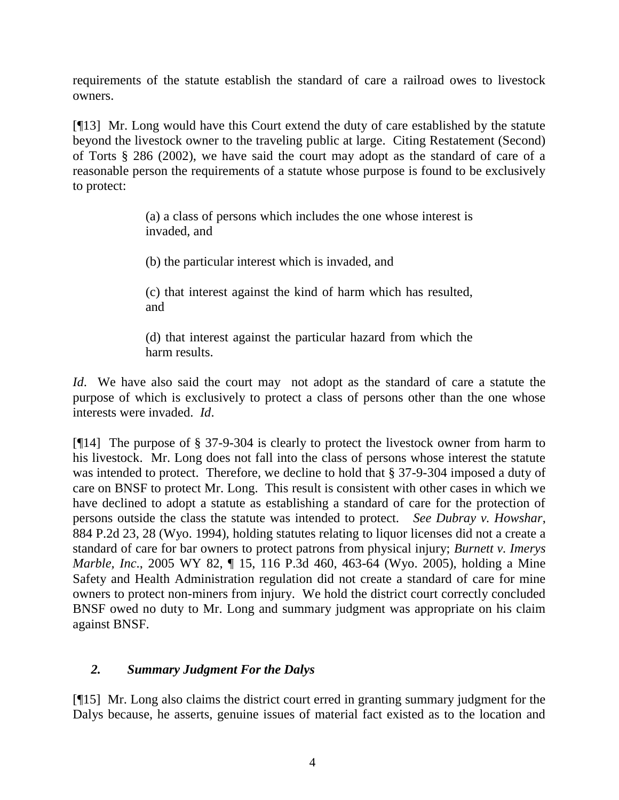requirements of the statute establish the standard of care a railroad owes to livestock owners.

[¶13] Mr. Long would have this Court extend the duty of care established by the statute beyond the livestock owner to the traveling public at large. Citing Restatement (Second) of Torts § 286 (2002), we have said the court may adopt as the standard of care of a reasonable person the requirements of a statute whose purpose is found to be exclusively to protect:

> (a) a class of persons which includes the one whose interest is invaded, and

(b) the particular interest which is invaded, and

(c) that interest against the kind of harm which has resulted, and

(d) that interest against the particular hazard from which the harm results.

*Id*. We have also said the court may not adopt as the standard of care a statute the purpose of which is exclusively to protect a class of persons other than the one whose interests were invaded. *Id*.

[¶14] The purpose of § 37-9-304 is clearly to protect the livestock owner from harm to his livestock. Mr. Long does not fall into the class of persons whose interest the statute was intended to protect. Therefore, we decline to hold that § 37-9-304 imposed a duty of care on BNSF to protect Mr. Long. This result is consistent with other cases in which we have declined to adopt a statute as establishing a standard of care for the protection of persons outside the class the statute was intended to protect. *See Dubray v. Howshar*, 884 P.2d 23, 28 (Wyo. 1994), holding statutes relating to liquor licenses did not a create a standard of care for bar owners to protect patrons from physical injury; *Burnett v. Imerys Marble, Inc*., 2005 WY 82, ¶ 15, 116 P.3d 460, 463-64 (Wyo. 2005), holding a Mine Safety and Health Administration regulation did not create a standard of care for mine owners to protect non-miners from injury. We hold the district court correctly concluded BNSF owed no duty to Mr. Long and summary judgment was appropriate on his claim against BNSF.

# *2. Summary Judgment For the Dalys*

[¶15] Mr. Long also claims the district court erred in granting summary judgment for the Dalys because, he asserts, genuine issues of material fact existed as to the location and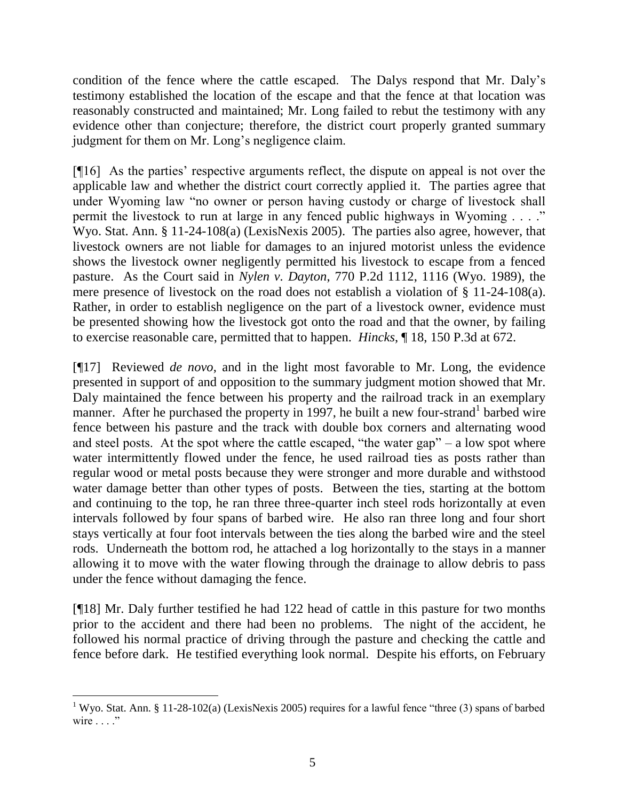condition of the fence where the cattle escaped. The Dalys respond that Mr. Daly's testimony established the location of the escape and that the fence at that location was reasonably constructed and maintained; Mr. Long failed to rebut the testimony with any evidence other than conjecture; therefore, the district court properly granted summary judgment for them on Mr. Long's negligence claim.

[¶16] As the parties' respective arguments reflect, the dispute on appeal is not over the applicable law and whether the district court correctly applied it. The parties agree that under Wyoming law "no owner or person having custody or charge of livestock shall permit the livestock to run at large in any fenced public highways in Wyoming . . . ." Wyo. Stat. Ann. § 11-24-108(a) (LexisNexis 2005). The parties also agree, however, that livestock owners are not liable for damages to an injured motorist unless the evidence shows the livestock owner negligently permitted his livestock to escape from a fenced pasture. As the Court said in *Nylen v. Dayton*, 770 P.2d 1112, 1116 (Wyo. 1989), the mere presence of livestock on the road does not establish a violation of § 11-24-108(a). Rather, in order to establish negligence on the part of a livestock owner, evidence must be presented showing how the livestock got onto the road and that the owner, by failing to exercise reasonable care, permitted that to happen. *Hincks*, ¶ 18, 150 P.3d at 672.

[¶17] Reviewed *de novo*, and in the light most favorable to Mr. Long, the evidence presented in support of and opposition to the summary judgment motion showed that Mr. Daly maintained the fence between his property and the railroad track in an exemplary manner. After he purchased the property in 1997, he built a new four-strand<sup>1</sup> barbed wire fence between his pasture and the track with double box corners and alternating wood and steel posts. At the spot where the cattle escaped, "the water gap"  $-$  a low spot where water intermittently flowed under the fence, he used railroad ties as posts rather than regular wood or metal posts because they were stronger and more durable and withstood water damage better than other types of posts. Between the ties, starting at the bottom and continuing to the top, he ran three three-quarter inch steel rods horizontally at even intervals followed by four spans of barbed wire. He also ran three long and four short stays vertically at four foot intervals between the ties along the barbed wire and the steel rods. Underneath the bottom rod, he attached a log horizontally to the stays in a manner allowing it to move with the water flowing through the drainage to allow debris to pass under the fence without damaging the fence.

[¶18] Mr. Daly further testified he had 122 head of cattle in this pasture for two months prior to the accident and there had been no problems. The night of the accident, he followed his normal practice of driving through the pasture and checking the cattle and fence before dark. He testified everything look normal. Despite his efforts, on February

l

<sup>&</sup>lt;sup>1</sup> Wyo. Stat. Ann. § 11-28-102(a) (LexisNexis 2005) requires for a lawful fence "three (3) spans of barbed wire . . . ."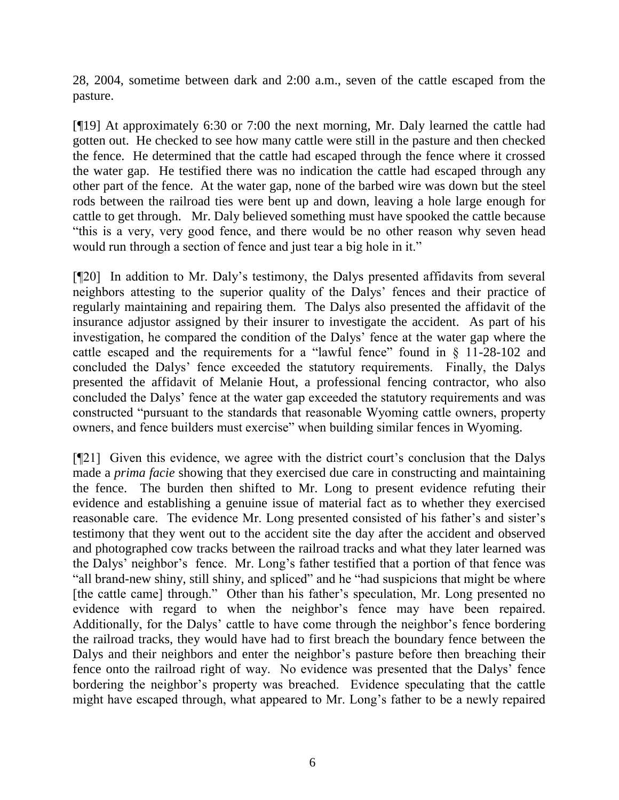28, 2004, sometime between dark and 2:00 a.m., seven of the cattle escaped from the pasture.

[¶19] At approximately 6:30 or 7:00 the next morning, Mr. Daly learned the cattle had gotten out. He checked to see how many cattle were still in the pasture and then checked the fence. He determined that the cattle had escaped through the fence where it crossed the water gap. He testified there was no indication the cattle had escaped through any other part of the fence. At the water gap, none of the barbed wire was down but the steel rods between the railroad ties were bent up and down, leaving a hole large enough for cattle to get through. Mr. Daly believed something must have spooked the cattle because "this is a very, very good fence, and there would be no other reason why seven head would run through a section of fence and just tear a big hole in it."

[¶20] In addition to Mr. Daly's testimony, the Dalys presented affidavits from several neighbors attesting to the superior quality of the Dalys' fences and their practice of regularly maintaining and repairing them. The Dalys also presented the affidavit of the insurance adjustor assigned by their insurer to investigate the accident. As part of his investigation, he compared the condition of the Dalys' fence at the water gap where the cattle escaped and the requirements for a "lawful fence" found in § 11-28-102 and concluded the Dalys' fence exceeded the statutory requirements. Finally, the Dalys presented the affidavit of Melanie Hout, a professional fencing contractor, who also concluded the Dalys' fence at the water gap exceeded the statutory requirements and was constructed "pursuant to the standards that reasonable Wyoming cattle owners, property owners, and fence builders must exercise" when building similar fences in Wyoming.

[¶21] Given this evidence, we agree with the district court's conclusion that the Dalys made a *prima facie* showing that they exercised due care in constructing and maintaining the fence. The burden then shifted to Mr. Long to present evidence refuting their evidence and establishing a genuine issue of material fact as to whether they exercised reasonable care. The evidence Mr. Long presented consisted of his father's and sister's testimony that they went out to the accident site the day after the accident and observed and photographed cow tracks between the railroad tracks and what they later learned was the Dalys' neighbor's fence. Mr. Long's father testified that a portion of that fence was "all brand-new shiny, still shiny, and spliced" and he "had suspicions that might be where [the cattle came] through." Other than his father's speculation, Mr. Long presented no evidence with regard to when the neighbor's fence may have been repaired. Additionally, for the Dalys' cattle to have come through the neighbor's fence bordering the railroad tracks, they would have had to first breach the boundary fence between the Dalys and their neighbors and enter the neighbor's pasture before then breaching their fence onto the railroad right of way. No evidence was presented that the Dalys' fence bordering the neighbor's property was breached. Evidence speculating that the cattle might have escaped through, what appeared to Mr. Long's father to be a newly repaired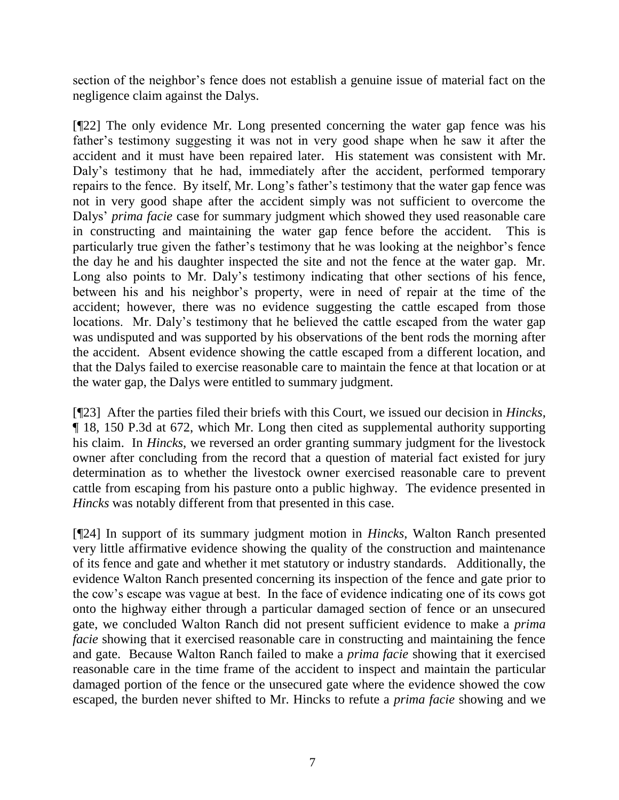section of the neighbor's fence does not establish a genuine issue of material fact on the negligence claim against the Dalys.

[¶22] The only evidence Mr. Long presented concerning the water gap fence was his father's testimony suggesting it was not in very good shape when he saw it after the accident and it must have been repaired later. His statement was consistent with Mr. Daly's testimony that he had, immediately after the accident, performed temporary repairs to the fence. By itself, Mr. Long's father's testimony that the water gap fence was not in very good shape after the accident simply was not sufficient to overcome the Dalys' *prima facie* case for summary judgment which showed they used reasonable care in constructing and maintaining the water gap fence before the accident. This is particularly true given the father's testimony that he was looking at the neighbor's fence the day he and his daughter inspected the site and not the fence at the water gap. Mr. Long also points to Mr. Daly's testimony indicating that other sections of his fence, between his and his neighbor's property, were in need of repair at the time of the accident; however, there was no evidence suggesting the cattle escaped from those locations. Mr. Daly's testimony that he believed the cattle escaped from the water gap was undisputed and was supported by his observations of the bent rods the morning after the accident. Absent evidence showing the cattle escaped from a different location, and that the Dalys failed to exercise reasonable care to maintain the fence at that location or at the water gap, the Dalys were entitled to summary judgment.

[¶23] After the parties filed their briefs with this Court, we issued our decision in *Hincks*, ¶ 18, 150 P.3d at 672, which Mr. Long then cited as supplemental authority supporting his claim. In *Hincks*, we reversed an order granting summary judgment for the livestock owner after concluding from the record that a question of material fact existed for jury determination as to whether the livestock owner exercised reasonable care to prevent cattle from escaping from his pasture onto a public highway. The evidence presented in *Hincks* was notably different from that presented in this case.

[¶24] In support of its summary judgment motion in *Hincks*, Walton Ranch presented very little affirmative evidence showing the quality of the construction and maintenance of its fence and gate and whether it met statutory or industry standards. Additionally, the evidence Walton Ranch presented concerning its inspection of the fence and gate prior to the cow's escape was vague at best. In the face of evidence indicating one of its cows got onto the highway either through a particular damaged section of fence or an unsecured gate, we concluded Walton Ranch did not present sufficient evidence to make a *prima facie* showing that it exercised reasonable care in constructing and maintaining the fence and gate. Because Walton Ranch failed to make a *prima facie* showing that it exercised reasonable care in the time frame of the accident to inspect and maintain the particular damaged portion of the fence or the unsecured gate where the evidence showed the cow escaped, the burden never shifted to Mr. Hincks to refute a *prima facie* showing and we